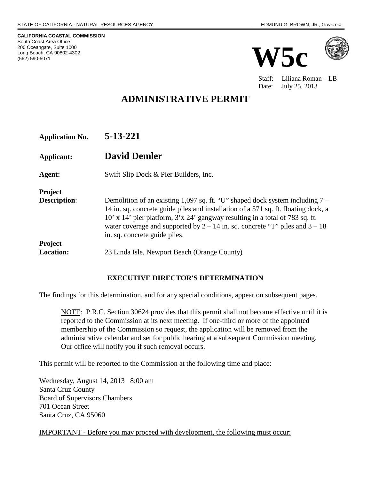**CALIFORNIA COASTAL COMMISSION** South Coast Area Office 200 Oceangate, Suite 1000 Long Beach, CA 90802-4302 (562) 590-5071





Staff: Liliana Roman – LB Date: July 25, 2013

# **ADMINISTRATIVE PERMIT**

**Application No. 5-13-221**

**Applicant: David Demler**

**Agent:** Swift Slip Dock & Pier Builders, Inc.

**Project Description:** Demolition of an existing 1,097 sq. ft. "U" shaped dock system including 7 – 14 in. sq. concrete guide piles and installation of a 571 sq. ft. floating dock, a 10' x 14' pier platform, 3'x 24' gangway resulting in a total of 783 sq. ft. water coverage and supported by  $2 - 14$  in. sq. concrete "T" piles and  $3 - 18$ in. sq. concrete guide piles. **Project Location:** 23 Linda Isle, Newport Beach (Orange County)

## **EXECUTIVE DIRECTOR'S DETERMINATION**

The findings for this determination, and for any special conditions, appear on subsequent pages.

NOTE: P.R.C. Section 30624 provides that this permit shall not become effective until it is reported to the Commission at its next meeting. If one-third or more of the appointed membership of the Commission so request, the application will be removed from the administrative calendar and set for public hearing at a subsequent Commission meeting. Our office will notify you if such removal occurs.

This permit will be reported to the Commission at the following time and place:

Wednesday, August 14, 2013 8:00 am Santa Cruz County Board of Supervisors Chambers 701 Ocean Street Santa Cruz, CA 95060

IMPORTANT - Before you may proceed with development, the following must occur: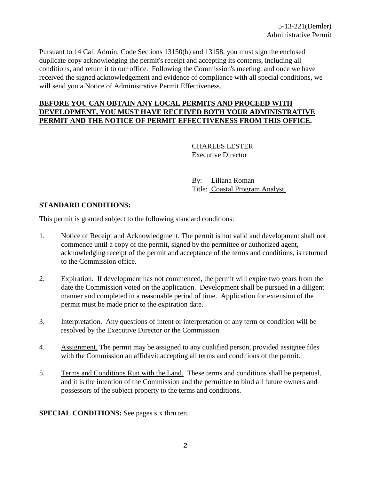Pursuant to 14 Cal. Admin. Code Sections 13150(b) and 13158, you must sign the enclosed duplicate copy acknowledging the permit's receipt and accepting its contents, including all conditions, and return it to our office. Following the Commission's meeting, and once we have received the signed acknowledgement and evidence of compliance with all special conditions, we will send you a Notice of Administrative Permit Effectiveness.

#### **BEFORE YOU CAN OBTAIN ANY LOCAL PERMITS AND PROCEED WITH DEVELOPMENT, YOU MUST HAVE RECEIVED BOTH YOUR ADMINISTRATIVE PERMIT AND THE NOTICE OF PERMIT EFFECTIVENESS FROM THIS OFFICE.**

CHARLES LESTER Executive Director

By: Liliana Roman Title: Coastal Program Analyst

#### **STANDARD CONDITIONS:**

This permit is granted subject to the following standard conditions:

- 1. Notice of Receipt and Acknowledgment. The permit is not valid and development shall not commence until a copy of the permit, signed by the permittee or authorized agent, acknowledging receipt of the permit and acceptance of the terms and conditions, is returned to the Commission office.
- 2. Expiration. If development has not commenced, the permit will expire two years from the date the Commission voted on the application. Development shall be pursued in a diligent manner and completed in a reasonable period of time. Application for extension of the permit must be made prior to the expiration date.
- 3. Interpretation. Any questions of intent or interpretation of any term or condition will be resolved by the Executive Director or the Commission.
- 4. Assignment. The permit may be assigned to any qualified person, provided assignee files with the Commission an affidavit accepting all terms and conditions of the permit.
- 5. Terms and Conditions Run with the Land. These terms and conditions shall be perpetual, and it is the intention of the Commission and the permittee to bind all future owners and possessors of the subject property to the terms and conditions.

**SPECIAL CONDITIONS:** See pages six thru ten.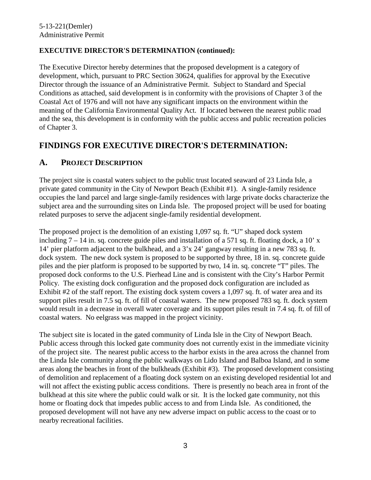## **EXECUTIVE DIRECTOR'S DETERMINATION (continued):**

The Executive Director hereby determines that the proposed development is a category of development, which, pursuant to PRC Section 30624, qualifies for approval by the Executive Director through the issuance of an Administrative Permit. Subject to Standard and Special Conditions as attached, said development is in conformity with the provisions of Chapter 3 of the Coastal Act of 1976 and will not have any significant impacts on the environment within the meaning of the California Environmental Quality Act. If located between the nearest public road and the sea, this development is in conformity with the public access and public recreation policies of Chapter 3.

# **FINDINGS FOR EXECUTIVE DIRECTOR'S DETERMINATION:**

# **A. PROJECT DESCRIPTION**

The project site is coastal waters subject to the public trust located seaward of 23 Linda Isle, a private gated community in the City of Newport Beach (Exhibit #1). A single-family residence occupies the land parcel and large single-family residences with large private docks characterize the subject area and the surrounding sites on Linda Isle. The proposed project will be used for boating related purposes to serve the adjacent single-family residential development.

The proposed project is the demolition of an existing 1,097 sq. ft. "U" shaped dock system including  $7 - 14$  in. sq. concrete guide piles and installation of a 571 sq. ft. floating dock, a 10' x 14' pier platform adjacent to the bulkhead, and a 3'x 24' gangway resulting in a new 783 sq. ft. dock system. The new dock system is proposed to be supported by three, 18 in. sq. concrete guide piles and the pier platform is proposed to be supported by two, 14 in. sq. concrete "T" piles. The proposed dock conforms to the U.S. Pierhead Line and is consistent with the City's Harbor Permit Policy. The existing dock configuration and the proposed dock configuration are included as Exhibit #2 of the staff report. The existing dock system covers a 1,097 sq. ft. of water area and its support piles result in 7.5 sq. ft. of fill of coastal waters. The new proposed 783 sq. ft. dock system would result in a decrease in overall water coverage and its support piles result in 7.4 sq. ft. of fill of coastal waters. No eelgrass was mapped in the project vicinity.

The subject site is located in the gated community of Linda Isle in the City of Newport Beach. Public access through this locked gate community does not currently exist in the immediate vicinity of the project site. The nearest public access to the harbor exists in the area across the channel from the Linda Isle community along the public walkways on Lido Island and Balboa Island, and in some areas along the beaches in front of the bulkheads (Exhibit #3). The proposed development consisting of demolition and replacement of a floating dock system on an existing developed residential lot and will not affect the existing public access conditions. There is presently no beach area in front of the bulkhead at this site where the public could walk or sit. It is the locked gate community, not this home or floating dock that impedes public access to and from Linda Isle. As conditioned, the proposed development will not have any new adverse impact on public access to the coast or to nearby recreational facilities.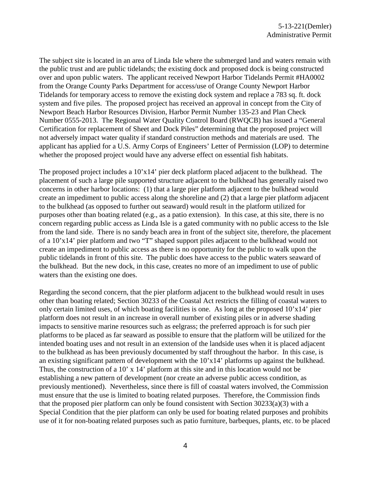The subject site is located in an area of Linda Isle where the submerged land and waters remain with the public trust and are public tidelands; the existing dock and proposed dock is being constructed over and upon public waters. The applicant received Newport Harbor Tidelands Permit #HA0002 from the Orange County Parks Department for access/use of Orange County Newport Harbor Tidelands for temporary access to remove the existing dock system and replace a 783 sq. ft. dock system and five piles. The proposed project has received an approval in concept from the City of Newport Beach Harbor Resources Division, Harbor Permit Number 135-23 and Plan Check Number 0555-2013. The Regional Water Quality Control Board (RWQCB) has issued a "General Certification for replacement of Sheet and Dock Piles" determining that the proposed project will not adversely impact water quality if standard construction methods and materials are used. The applicant has applied for a U.S. Army Corps of Engineers' Letter of Permission (LOP) to determine whether the proposed project would have any adverse effect on essential fish habitats.

The proposed project includes a 10'x14' pier deck platform placed adjacent to the bulkhead. The placement of such a large pile supported structure adjacent to the bulkhead has generally raised two concerns in other harbor locations: (1) that a large pier platform adjacent to the bulkhead would create an impediment to public access along the shoreline and (2) that a large pier platform adjacent to the bulkhead (as opposed to further out seaward) would result in the platform utilized for purposes other than boating related (e.g., as a patio extension). In this case, at this site, there is no concern regarding public access as Linda Isle is a gated community with no public access to the Isle from the land side. There is no sandy beach area in front of the subject site, therefore, the placement of a 10'x14' pier platform and two "T" shaped support piles adjacent to the bulkhead would not create an impediment to public access as there is no opportunity for the public to walk upon the public tidelands in front of this site. The public does have access to the public waters seaward of the bulkhead. But the new dock, in this case, creates no more of an impediment to use of public waters than the existing one does.

Regarding the second concern, that the pier platform adjacent to the bulkhead would result in uses other than boating related; Section 30233 of the Coastal Act restricts the filling of coastal waters to only certain limited uses, of which boating facilities is one. As long at the proposed 10'x14' pier platform does not result in an increase in overall number of existing piles or in adverse shading impacts to sensitive marine resources such as eelgrass; the preferred approach is for such pier platforms to be placed as far seaward as possible to ensure that the platform will be utilized for the intended boating uses and not result in an extension of the landside uses when it is placed adjacent to the bulkhead as has been previously documented by staff throughout the harbor. In this case, is an existing significant pattern of development with the 10'x14' platforms up against the bulkhead. Thus, the construction of a 10' x 14' platform at this site and in this location would not be establishing a new pattern of development (nor create an adverse public access condition, as previously mentioned). Nevertheless, since there is fill of coastal waters involved, the Commission must ensure that the use is limited to boating related purposes. Therefore, the Commission finds that the proposed pier platform can only be found consistent with Section  $30233(a)(3)$  with a Special Condition that the pier platform can only be used for boating related purposes and prohibits use of it for non-boating related purposes such as patio furniture, barbeques, plants, etc. to be placed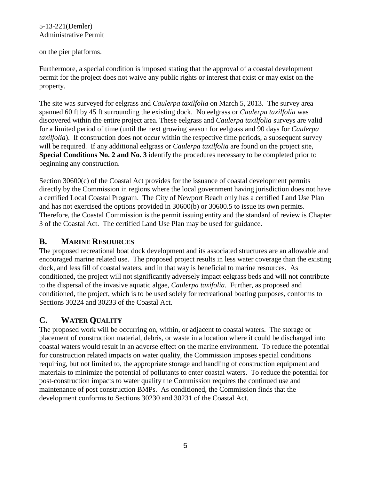#### 5-13-221(Demler) Administrative Permit

#### on the pier platforms.

Furthermore, a special condition is imposed stating that the approval of a coastal development permit for the project does not waive any public rights or interest that exist or may exist on the property.

The site was surveyed for eelgrass and *Caulerpa taxilfolia* on March 5, 2013. The survey area spanned 60 ft by 45 ft surrounding the existing dock. No eelgrass or *Caulerpa taxilfolia* was discovered within the entire project area. These eelgrass and *Caulerpa taxilfolia* surveys are valid for a limited period of time (until the next growing season for eelgrass and 90 days for *Caulerpa taxilfolia*). If construction does not occur within the respective time periods, a subsequent survey will be required. If any additional eelgrass or *Caulerpa taxilfolia* are found on the project site, **Special Conditions No. 2 and No. 3** identify the procedures necessary to be completed prior to beginning any construction.

Section 30600(c) of the Coastal Act provides for the issuance of coastal development permits directly by the Commission in regions where the local government having jurisdiction does not have a certified Local Coastal Program. The City of Newport Beach only has a certified Land Use Plan and has not exercised the options provided in 30600(b) or 30600.5 to issue its own permits. Therefore, the Coastal Commission is the permit issuing entity and the standard of review is Chapter 3 of the Coastal Act. The certified Land Use Plan may be used for guidance.

## **B. MARINE RESOURCES**

The proposed recreational boat dock development and its associated structures are an allowable and encouraged marine related use. The proposed project results in less water coverage than the existing dock, and less fill of coastal waters, and in that way is beneficial to marine resources. As conditioned, the project will not significantly adversely impact eelgrass beds and will not contribute to the dispersal of the invasive aquatic algae, *Caulerpa taxifolia*. Further, as proposed and conditioned, the project, which is to be used solely for recreational boating purposes, conforms to Sections 30224 and 30233 of the Coastal Act.

# **C. WATER QUALITY**

The proposed work will be occurring on, within, or adjacent to coastal waters. The storage or placement of construction material, debris, or waste in a location where it could be discharged into coastal waters would result in an adverse effect on the marine environment. To reduce the potential for construction related impacts on water quality, the Commission imposes special conditions requiring, but not limited to, the appropriate storage and handling of construction equipment and materials to minimize the potential of pollutants to enter coastal waters. To reduce the potential for post-construction impacts to water quality the Commission requires the continued use and maintenance of post construction BMPs. As conditioned, the Commission finds that the development conforms to Sections 30230 and 30231 of the Coastal Act.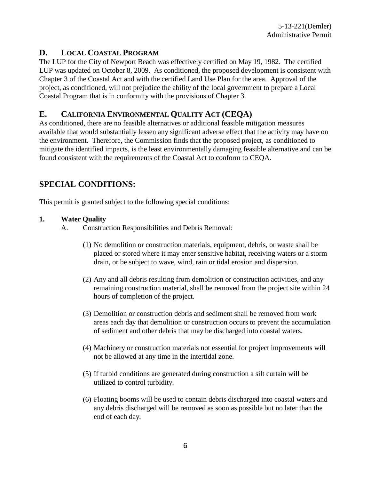# **D. LOCAL COASTAL PROGRAM**

The LUP for the City of Newport Beach was effectively certified on May 19, 1982. The certified LUP was updated on October 8, 2009. As conditioned, the proposed development is consistent with Chapter 3 of the Coastal Act and with the certified Land Use Plan for the area. Approval of the project, as conditioned, will not prejudice the ability of the local government to prepare a Local Coastal Program that is in conformity with the provisions of Chapter 3.

# **E. CALIFORNIA ENVIRONMENTAL QUALITY ACT (CEQA)**

As conditioned, there are no feasible alternatives or additional feasible mitigation measures available that would substantially lessen any significant adverse effect that the activity may have on the environment. Therefore, the Commission finds that the proposed project, as conditioned to mitigate the identified impacts, is the least environmentally damaging feasible alternative and can be found consistent with the requirements of the Coastal Act to conform to CEQA.

# **SPECIAL CONDITIONS:**

This permit is granted subject to the following special conditions:

#### **1. Water Quality**

- A. Construction Responsibilities and Debris Removal:
	- (1) No demolition or construction materials, equipment, debris, or waste shall be placed or stored where it may enter sensitive habitat, receiving waters or a storm drain, or be subject to wave, wind, rain or tidal erosion and dispersion.
	- (2) Any and all debris resulting from demolition or construction activities, and any remaining construction material, shall be removed from the project site within 24 hours of completion of the project.
	- (3) Demolition or construction debris and sediment shall be removed from work areas each day that demolition or construction occurs to prevent the accumulation of sediment and other debris that may be discharged into coastal waters.
	- (4) Machinery or construction materials not essential for project improvements will not be allowed at any time in the intertidal zone.
	- (5) If turbid conditions are generated during construction a silt curtain will be utilized to control turbidity.
	- (6) Floating booms will be used to contain debris discharged into coastal waters and any debris discharged will be removed as soon as possible but no later than the end of each day.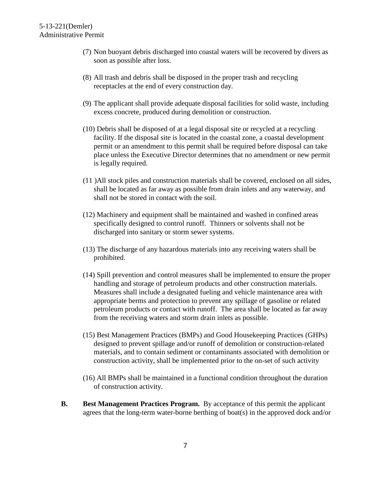- (7) Non buoyant debris discharged into coastal waters will be recovered by divers as soon as possible after loss.
- (8) All trash and debris shall be disposed in the proper trash and recycling receptacles at the end of every construction day.
- (9) The applicant shall provide adequate disposal facilities for solid waste, including excess concrete, produced during demolition or construction.
- (10) Debris shall be disposed of at a legal disposal site or recycled at a recycling facility. If the disposal site is located in the coastal zone, a coastal development permit or an amendment to this permit shall be required before disposal can take place unless the Executive Director determines that no amendment or new permit is legally required.
- (11 )All stock piles and construction materials shall be covered, enclosed on all sides, shall be located as far away as possible from drain inlets and any waterway, and shall not be stored in contact with the soil.
- (12) Machinery and equipment shall be maintained and washed in confined areas specifically designed to control runoff. Thinners or solvents shall not be discharged into sanitary or storm sewer systems.
- (13) The discharge of any hazardous materials into any receiving waters shall be prohibited.
- (14) Spill prevention and control measures shall be implemented to ensure the proper handling and storage of petroleum products and other construction materials. Measures shall include a designated fueling and vehicle maintenance area with appropriate berms and protection to prevent any spillage of gasoline or related petroleum products or contact with runoff. The area shall be located as far away from the receiving waters and storm drain inlets as possible.
- (15) Best Management Practices (BMPs) and Good Housekeeping Practices (GHPs) designed to prevent spillage and/or runoff of demolition or construction-related materials, and to contain sediment or contaminants associated with demolition or construction activity, shall be implemented prior to the on-set of such activity
- (16) All BMPs shall be maintained in a functional condition throughout the duration of construction activity.
- **B. Best Management Practices Program.** By acceptance of this permit the applicant agrees that the long-term water-borne berthing of boat(s) in the approved dock and/or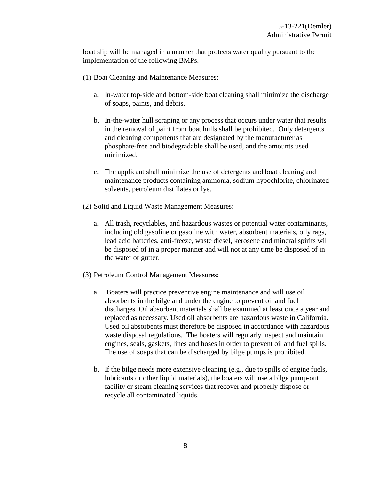boat slip will be managed in a manner that protects water quality pursuant to the implementation of the following BMPs.

- (1) Boat Cleaning and Maintenance Measures:
	- a. In-water top-side and bottom-side boat cleaning shall minimize the discharge of soaps, paints, and debris.
	- b. In-the-water hull scraping or any process that occurs under water that results in the removal of paint from boat hulls shall be prohibited. Only detergents and cleaning components that are designated by the manufacturer as phosphate-free and biodegradable shall be used, and the amounts used minimized.
	- c. The applicant shall minimize the use of detergents and boat cleaning and maintenance products containing ammonia, sodium hypochlorite, chlorinated solvents, petroleum distillates or lye.
- (2) Solid and Liquid Waste Management Measures:
	- a. All trash, recyclables, and hazardous wastes or potential water contaminants, including old gasoline or gasoline with water, absorbent materials, oily rags, lead acid batteries, anti-freeze, waste diesel, kerosene and mineral spirits will be disposed of in a proper manner and will not at any time be disposed of in the water or gutter.
- (3) Petroleum Control Management Measures:
	- a. Boaters will practice preventive engine maintenance and will use oil absorbents in the bilge and under the engine to prevent oil and fuel discharges. Oil absorbent materials shall be examined at least once a year and replaced as necessary. Used oil absorbents are hazardous waste in California. Used oil absorbents must therefore be disposed in accordance with hazardous waste disposal regulations. The boaters will regularly inspect and maintain engines, seals, gaskets, lines and hoses in order to prevent oil and fuel spills. The use of soaps that can be discharged by bilge pumps is prohibited.
	- b. If the bilge needs more extensive cleaning (e.g., due to spills of engine fuels, lubricants or other liquid materials), the boaters will use a bilge pump-out facility or steam cleaning services that recover and properly dispose or recycle all contaminated liquids.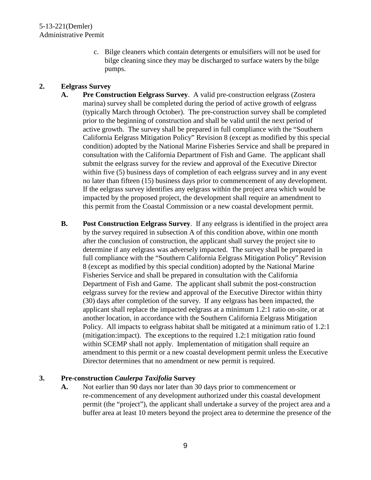c. Bilge cleaners which contain detergents or emulsifiers will not be used for bilge cleaning since they may be discharged to surface waters by the bilge pumps.

### **2. Eelgrass Survey**

- **A. Pre Construction Eelgrass Survey**. A valid pre-construction eelgrass (Zostera marina) survey shall be completed during the period of active growth of eelgrass (typically March through October). The pre-construction survey shall be completed prior to the beginning of construction and shall be valid until the next period of active growth. The survey shall be prepared in full compliance with the "Southern California Eelgrass Mitigation Policy" Revision 8 (except as modified by this special condition) adopted by the National Marine Fisheries Service and shall be prepared in consultation with the California Department of Fish and Game. The applicant shall submit the eelgrass survey for the review and approval of the Executive Director within five (5) business days of completion of each eelgrass survey and in any event no later than fifteen (15) business days prior to commencement of any development. If the eelgrass survey identifies any eelgrass within the project area which would be impacted by the proposed project, the development shall require an amendment to this permit from the Coastal Commission or a new coastal development permit.
- **B. Post Construction Eelgrass Survey**. If any eelgrass is identified in the project area by the survey required in subsection A of this condition above, within one month after the conclusion of construction, the applicant shall survey the project site to determine if any eelgrass was adversely impacted. The survey shall be prepared in full compliance with the "Southern California Eelgrass Mitigation Policy" Revision 8 (except as modified by this special condition) adopted by the National Marine Fisheries Service and shall be prepared in consultation with the California Department of Fish and Game. The applicant shall submit the post-construction eelgrass survey for the review and approval of the Executive Director within thirty (30) days after completion of the survey. If any eelgrass has been impacted, the applicant shall replace the impacted eelgrass at a minimum 1.2:1 ratio on-site, or at another location, in accordance with the Southern California Eelgrass Mitigation Policy. All impacts to eelgrass habitat shall be mitigated at a minimum ratio of 1.2:1 (mitigation:impact). The exceptions to the required 1.2:1 mitigation ratio found within SCEMP shall not apply. Implementation of mitigation shall require an amendment to this permit or a new coastal development permit unless the Executive Director determines that no amendment or new permit is required.

## **3. Pre-construction** *Caulerpa Taxifolia* **Survey**

**A.** Not earlier than 90 days nor later than 30 days prior to commencement or re-commencement of any development authorized under this coastal development permit (the "project"), the applicant shall undertake a survey of the project area and a buffer area at least 10 meters beyond the project area to determine the presence of the